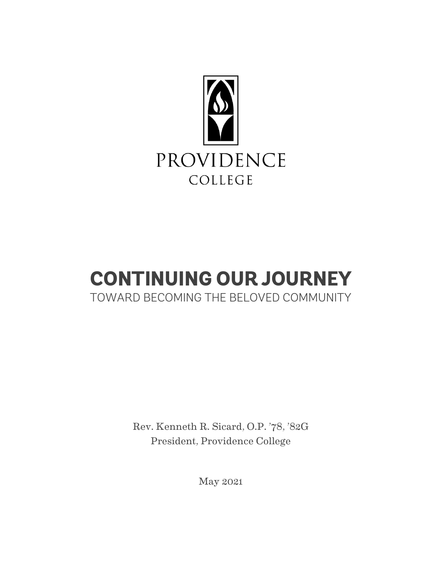

# **CONTINUING OUR JOURNEY**  TOWARD BECOMING THE BELOVED COMMUNITY

Rev. Kenneth R. Sicard, O.P. '78, '82G President, Providence College

May 2021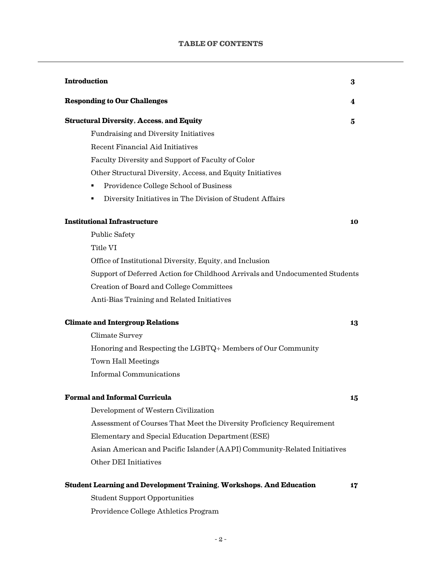| <b>Introduction</b>                                                         | $\bf{3}$ |
|-----------------------------------------------------------------------------|----------|
| <b>Responding to Our Challenges</b>                                         | 4        |
| <b>Structural Diversity, Access, and Equity</b>                             | 5        |
| Fundraising and Diversity Initiatives                                       |          |
| <b>Recent Financial Aid Initiatives</b>                                     |          |
| Faculty Diversity and Support of Faculty of Color                           |          |
| Other Structural Diversity, Access, and Equity Initiatives                  |          |
| Providence College School of Business<br>٠                                  |          |
| Diversity Initiatives in The Division of Student Affairs<br>٠               |          |
| <b>Institutional Infrastructure</b>                                         | 10       |
| <b>Public Safety</b>                                                        |          |
| Title VI                                                                    |          |
| Office of Institutional Diversity, Equity, and Inclusion                    |          |
| Support of Deferred Action for Childhood Arrivals and Undocumented Students |          |
| Creation of Board and College Committees                                    |          |
| Anti-Bias Training and Related Initiatives                                  |          |
| <b>Climate and Intergroup Relations</b>                                     | 13       |
| Climate Survey                                                              |          |
| Honoring and Respecting the LGBTQ+ Members of Our Community                 |          |
| <b>Town Hall Meetings</b>                                                   |          |
| <b>Informal Communications</b>                                              |          |
| <b>Formal and Informal Curricula</b>                                        | 15       |
| Development of Western Civilization                                         |          |
| Assessment of Courses That Meet the Diversity Proficiency Requirement       |          |
| Elementary and Special Education Department (ESE)                           |          |
| Asian American and Pacific Islander (AAPI) Community-Related Initiatives    |          |
| Other DEI Initiatives                                                       |          |
| <b>Student Learning and Development Training, Workshops, And Education</b>  | 17       |
| <b>Student Support Opportunities</b>                                        |          |
| Providence College Athletics Program                                        |          |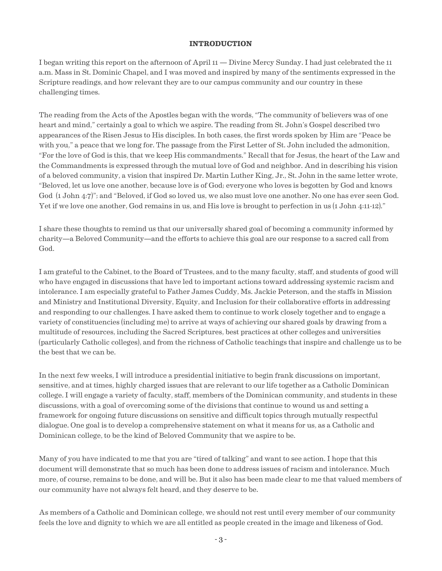#### **INTRODUCTION**

I began writing this report on the afternoon of April 11 — Divine Mercy Sunday. I had just celebrated the 11 a.m. Mass in St. Dominic Chapel, and I was moved and inspired by many of the sentiments expressed in the Scripture readings, and how relevant they are to our campus community and our country in these challenging times.

The reading from the Acts of the Apostles began with the words, "The community of believers was of one heart and mind," certainly a goal to which we aspire. The reading from St. John's Gospel described two appearances of the Risen Jesus to His disciples. In both cases, the first words spoken by Him are "Peace be with you," a peace that we long for. The passage from the First Letter of St. John included the admonition, "For the love of God is this, that we keep His commandments." Recall that for Jesus, the heart of the Law and the Commandments is expressed through the mutual love of God and neighbor. And in describing his vision of a beloved community, a vision that inspired Dr. Martin Luther King, Jr., St. John in the same letter wrote, "Beloved, let us love one another, because love is of God; everyone who loves is begotten by God and knows God  $(1$  John 4:7<sup>"</sup>; and "Beloved, if God so loved us, we also must love one another. No one has ever seen God. Yet if we love one another, God remains in us, and His love is brought to perfection in us (1 John 4:11-12)."

I share these thoughts to remind us that our universally shared goal of becoming a community informed by charity—a Beloved Community—and the efforts to achieve this goal are our response to a sacred call from God.

I am grateful to the Cabinet, to the Board of Trustees, and to the many faculty, staff, and students of good will who have engaged in discussions that have led to important actions toward addressing systemic racism and intolerance. I am especially grateful to Father James Cuddy, Ms. Jackie Peterson, and the staffs in Mission and Ministry and Institutional Diversity, Equity, and Inclusion for their collaborative efforts in addressing and responding to our challenges. I have asked them to continue to work closely together and to engage a variety of constituencies (including me) to arrive at ways of achieving our shared goals by drawing from a multitude of resources, including the Sacred Scriptures, best practices at other colleges and universities (particularly Catholic colleges), and from the richness of Catholic teachings that inspire and challenge us to be the best that we can be.

In the next few weeks, I will introduce a presidential initiative to begin frank discussions on important, sensitive, and at times, highly charged issues that are relevant to our life together as a Catholic Dominican college. I will engage a variety of faculty, staff, members of the Dominican community, and students in these discussions, with a goal of overcoming some of the divisions that continue to wound us and setting a framework for ongoing future discussions on sensitive and difficult topics through mutually respectful dialogue. One goal is to develop a comprehensive statement on what it means for us, as a Catholic and Dominican college, to be the kind of Beloved Community that we aspire to be.

Many of you have indicated to me that you are "tired of talking" and want to see action. I hope that this document will demonstrate that so much has been done to address issues of racism and intolerance. Much more, of course, remains to be done, and will be. But it also has been made clear to me that valued members of our community have not always felt heard, and they deserve to be.

As members of a Catholic and Dominican college, we should not rest until every member of our community feels the love and dignity to which we are all entitled as people created in the image and likeness of God.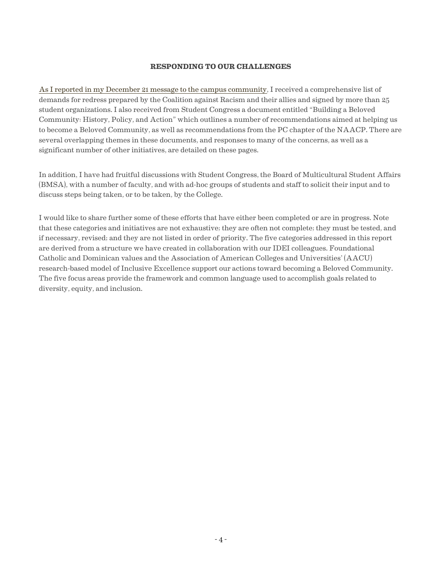#### **RESPONDING TO OUR CHALLENGES**

As I reported [in my December](https://president.providence.edu/continuing-our-journey-toward-becoming-the-beloved-community/update-on-diversity-equity-and-inclusion-initiatives/) 21 message to the campus community, I received a comprehensive list of demands for redress prepared by the Coalition against Racism and their allies and signed by more than 25 student organizations. I also received from Student Congress a document entitled "Building a Beloved Community: History, Policy, and Action" which outlines a number of recommendations aimed at helping us to become a Beloved Community, as well as recommendations from the PC chapter of the NAACP. There are several overlapping themes in these documents, and responses to many of the concerns, as well as a significant number of other initiatives, are detailed on these pages.

In addition, I have had fruitful discussions with Student Congress, the Board of Multicultural Student Affairs (BMSA), with a number of faculty, and with ad-hoc groups of students and staff to solicit their input and to discuss steps being taken, or to be taken, by the College.

I would like to share further some of these efforts that have either been completed or are in progress. Note that these categories and initiatives are not exhaustive; they are often not complete; they must be tested, and if necessary, revised; and they are not listed in order of priority. The five categories addressed in this report are derived from a structure we have created in collaboration with our IDEI colleagues. Foundational Catholic and Dominican values and the Association of American Colleges and Universities' (AACU) research-based model of Inclusive Excellence support our actions toward becoming a Beloved Community. The five focus areas provide the framework and common language used to accomplish goals related to diversity, equity, and inclusion.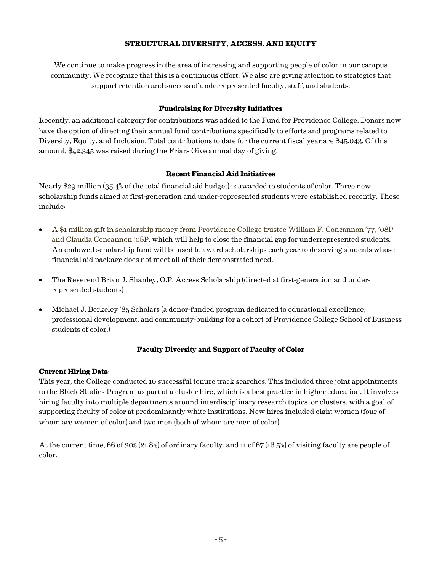# **STRUCTURAL DIVERSITY, ACCESS, AND EQUITY**

We continue to make progress in the area of increasing and supporting people of color in our campus community. We recognize that this is a continuous effort. We also are giving attention to strategies that support retention and success of underrepresented faculty, staff, and students.

## **Fundraising for Diversity Initiatives**

Recently, an additional category for contributions was added to the Fund for Providence College. Donors now have the option of directing their annual fund contributions specifically to efforts and programs related to Diversity, Equity, and Inclusion. Total contributions to date for the current fiscal year are \$45,043. Of this amount, \$42,345 was raised during the Friars Give annual day of giving.

## **Recent Financial Aid Initiatives**

Nearly \$29 million (35.4% of the total financial aid budget) is awarded to students of color. Three new scholarship funds aimed at first-generation and under-represented students were established recently. These include:

- A \$1 million gift [in scholarship money](https://news.providence.edu/concannons-2m-gift-to-endow-fitness-center-scholarships-for-underrepresented-students) from Providence College trustee William F. Concannon '77, '08P and Claudia Concannon '08P, which will help to close the financial gap for underrepresented students. An endowed scholarship fund will be used to award scholarships each year to deserving students whose financial aid package does not meet all of their demonstrated need.
- The Reverend Brian J. Shanley, O.P. Access Scholarship (directed at first-generation and underrepresented students)
- Michael J. Berkeley '85 Scholars (a donor-funded program dedicated to educational excellence, professional development, and community-building for a cohort of Providence College School of Business students of color.)

# **Faculty Diversity and Support of Faculty of Color**

## **Current Hiring Data:**

This year, the College conducted 10 successful tenure track searches. This included three joint appointments to the Black Studies Program as part of a cluster hire, which is a best practice in higher education. It involves hiring faculty into multiple departments around interdisciplinary research topics, or clusters, with a goal of supporting faculty of color at predominantly white institutions. New hires included eight women (four of whom are women of color) and two men (both of whom are men of color).

At the current time, 66 of 302 (21.8%) of ordinary faculty, and 11 of 67 (16.5%) of visiting faculty are people of color.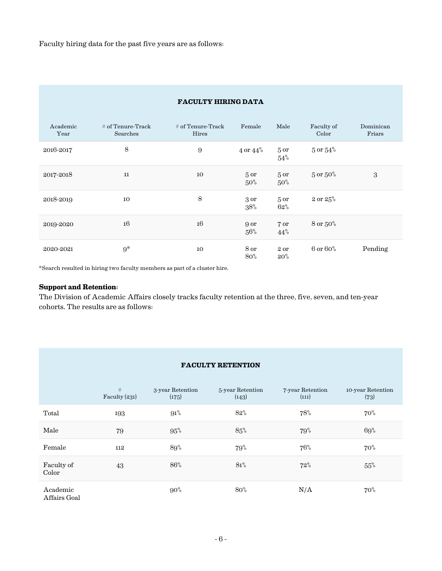| <b>FACULTY HIRING DATA</b> |                                 |                              |                           |                           |                      |                     |
|----------------------------|---------------------------------|------------------------------|---------------------------|---------------------------|----------------------|---------------------|
| Academic<br>Year           | $#$ of Tenure-Track<br>Searches | $#$ of Tenure-Track<br>Hires | Female                    | Male                      | Faculty of<br>Color  | Dominican<br>Friars |
| 2016-2017                  | 8                               | 9                            | $4$ or $44\%$             | 5 <sub>or</sub><br>54%    | $5$ or $54\%$        |                     |
| 2017-2018                  | 11                              | 10                           | 5 <sub>or</sub><br>$50\%$ | 5 <sub>or</sub><br>$50\%$ | $5 \text{ or } 50\%$ | 3                   |
| 2018-2019                  | 10                              | 8                            | 3 or<br>$38\%$            | 5 <sub>or</sub><br>62%    | $2 \text{ or } 25\%$ |                     |
| 2019-2020                  | 16                              | 16                           | 9 or<br>56%               | 7 or<br>44%               | 8 or 50%             |                     |
| 2020-2021                  | $9^*$                           | 10                           | 8 or<br>80%               | 2 or<br>$20\%$            | $6$ or $60\%$        | Pending             |

\*Search resulted in hiring two faculty members as part of a cluster hire.

## **Support and Retention:**

The Division of Academic Affairs closely tracks faculty retention at the three, five, seven, and ten-year cohorts. The results are as follows:

|                          | #<br>Faculty $(231)$ | 3-year Retention<br>(175) | 5-year Retention<br>(143) | 7-year Retention<br>(111) | 10-year Retention<br>(73) |
|--------------------------|----------------------|---------------------------|---------------------------|---------------------------|---------------------------|
| Total                    | 193                  | 91%                       | 82%                       | 78%                       | $70\%$                    |
| Male                     | 79                   | 95%                       | 85%                       | 79%                       | 69%                       |
| Female                   | 112                  | 89%                       | 79%                       | 76%                       | $70\%$                    |
| Faculty of<br>Color      | 43                   | 86%                       | 81%                       | 72%                       | 55%                       |
| Academic<br>Affairs Goal |                      | $90\%$                    | 80%                       | N/A                       | $70\%$                    |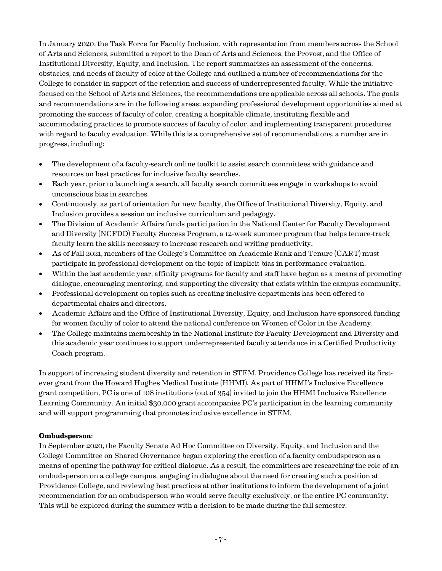In January 2020, the Task Force for Faculty Inclusion, with representation from members across the School of Arts and Sciences, submitted a report to the Dean of Arts and Sciences, the Provost, and the Office of Institutional Diversity, Equity, and Inclusion. The report summarizes an assessment of the concerns, obstacles, and needs of faculty of color at the College and outlined a number of recommendations for the College to consider in support of the retention and success of underrepresented faculty. While the initiative focused on the School of Arts and Sciences, the recommendations are applicable across all schools. The goals and recommendations are in the following areas: expanding professional development opportunities aimed at promoting the success of faculty of color, creating a hospitable climate, instituting flexible and accommodating practices to promote success of faculty of color, and implementing transparent procedures with regard to faculty evaluation. While this is a comprehensive set of recommendations, a number are in progress, including:

- The development of a faculty-search online toolkit to assist search committees with guidance and resources on best practices for inclusive faculty searches.
- Each year, prior to launching a search, all faculty search committees engage in workshops to avoid unconscious bias in searches.
- Continuously, as part of orientation for new faculty, the Office of Institutional Diversity, Equity, and Inclusion provides a session on inclusive curriculum and pedagogy.
- The Division of Academic Affairs funds participation in the National Center for Faculty Development and Diversity (NCFDD) Faculty Success Program, a 12-week summer program that helps tenure-track faculty learn the skills necessary to increase research and writing productivity.
- As of Fall 2021, members of the College's Committee on Academic Rank and Tenure (CART) must participate in professional development on the topic of implicit bias in performance evaluation.
- Within the last academic year, affinity programs for faculty and staff have begun as a means of promoting dialogue, encouraging mentoring, and supporting the diversity that exists within the campus community.
- Professional development on topics such as creating inclusive departments has been offered to departmental chairs and directors.
- Academic Affairs and the Office of Institutional Diversity, Equity, and Inclusion have sponsored funding for women faculty of color to attend the national conference on Women of Color in the Academy.
- The College maintains membership in the National Institute for Faculty Development and Diversity and this academic year continues to support underrepresented faculty attendance in a Certified Productivity Coach program.

In support of increasing student diversity and retention in STEM, Providence College has received its firstever grant from the Howard Hughes Medical Institute (HHMI). As part of HHMI's Inclusive Excellence grant competition, PC is one of 108 institutions (out of 354) invited to join the HHMI Inclusive Excellence Learning Community. An initial \$30,000 grant accompanies PC's participation in the learning community and will support programming that promotes inclusive excellence in STEM.

# **Ombudsperson:**

In September 2020, the Faculty Senate Ad Hoc Committee on Diversity, Equity, and Inclusion and the College Committee on Shared Governance began exploring the creation of a faculty ombudsperson as a means of opening the pathway for critical dialogue. As a result, the committees are researching the role of an ombudsperson on a college campus, engaging in dialogue about the need for creating such a position at Providence College, and reviewing best practices at other institutions to inform the development of a joint recommendation for an ombudsperson who would serve faculty exclusively, or the entire PC community. This will be explored during the summer with a decision to be made during the fall semester.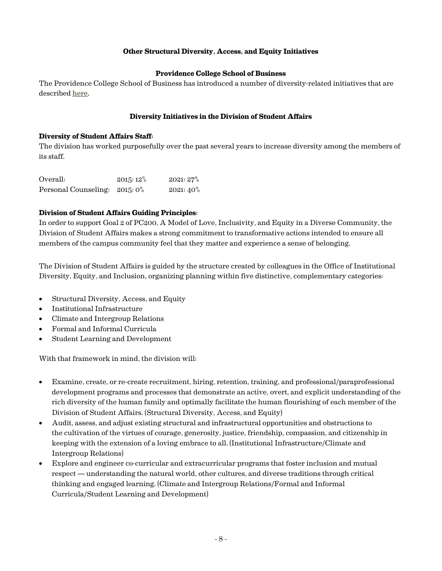## **Other Structural Diversity, Access, and Equity Initiatives**

## **Providence College School of Business**

The Providence College School of Business has introduced a number of diversity-related initiatives that are described [here.](https://business.providence.edu/pcsb-diversity-equity-and-inclusion-initiatives/)

#### **Diversity Initiatives in the Division of Student Affairs**

#### **Diversity of Student Affairs Staff:**

The division has worked purposefully over the past several years to increase diversity among the members of its staff.

| Overall:                     | $2015:12\%$ | $2021:27\%$ |
|------------------------------|-------------|-------------|
| Personal Counseling: 2015:0% |             | $2021:40\%$ |

#### **Division of Student Affairs Guiding Principles:**

In order to support Goal 2 of PC200, A Model of Love, Inclusivity, and Equity in a Diverse Community, the Division of Student Affairs makes a strong commitment to transformative actions intended to ensure all members of the campus community feel that they matter and experience a sense of belonging.

The Division of Student Affairs is guided by the structure created by colleagues in the Office of Institutional Diversity, Equity, and Inclusion, organizing planning within five distinctive, complementary categories:

- Structural Diversity, Access, and Equity
- Institutional Infrastructure
- Climate and Intergroup Relations
- Formal and Informal Curricula
- Student Learning and Development

With that framework in mind, the division will:

- Examine, create, or re-create recruitment, hiring, retention, training, and professional/paraprofessional development programs and processes that demonstrate an active, overt, and explicit understanding of the rich diversity of the human family and optimally facilitate the human flourishing of each member of the Division of Student Affairs. (Structural Diversity, Access, and Equity)
- Audit, assess, and adjust existing structural and infrastructural opportunities and obstructions to the cultivation of the virtues of courage, generosity, justice, friendship, compassion, and citizenship in keeping with the extension of a loving embrace to all. (Institutional Infrastructure/Climate and Intergroup Relations)
- Explore and engineer co-curricular and extracurricular programs that foster inclusion and mutual respect — understanding the natural world, other cultures, and diverse traditions through critical thinking and engaged learning. (Climate and Intergroup Relations/Formal and Informal Curricula/Student Learning and Development)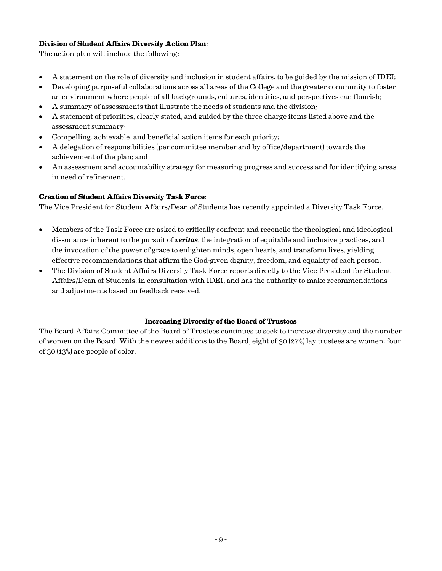## **Division of Student Affairs Diversity Action Plan:**

The action plan will include the following: 

- A statement on the role of diversity and inclusion in student affairs, to be guided by the mission of IDEI;
- Developing purposeful collaborations across all areas of the College and the greater community to foster an environment where people of all backgrounds, cultures, identities, and perspectives can flourish;
- A summary of assessments that illustrate the needs of students and the division;
- A statement of priorities, clearly stated, and guided by the three charge items listed above and the assessment summary;
- Compelling, achievable, and beneficial action items for each priority;
- A delegation of responsibilities (per committee member and by office/department) towards the achievement of the plan; and
- An assessment and accountability strategy for measuring progress and success and for identifying areas in need of refinement.

## **Creation of Student Affairs Diversity Task Force:**

The Vice President for Student Affairs/Dean of Students has recently appointed a Diversity Task Force.

- Members of the Task Force are asked to critically confront and reconcile the theological and ideological dissonance inherent to the pursuit of *veritas*, the integration of equitable and inclusive practices, and the invocation of the power of grace to enlighten minds, open hearts, and transform lives, yielding effective recommendations that affirm the God-given dignity, freedom, and equality of each person.
- The Division of Student Affairs Diversity Task Force reports directly to the Vice President for Student Affairs/Dean of Students, in consultation with IDEI, and has the authority to make recommendations and adjustments based on feedback received.

## **Increasing Diversity of the Board of Trustees**

The Board Affairs Committee of the Board of Trustees continues to seek to increase diversity and the number of women on the Board. With the newest additions to the Board, eight of 30 (27%) lay trustees are women; four of 30 (13%) are people of color.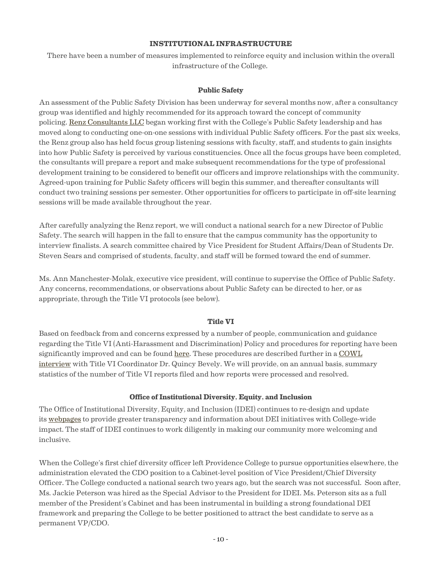#### **INSTITUTIONAL INFRASTRUCTURE**

There have been a number of measures implemented to reinforce equity and inclusion within the overall infrastructure of the College.

#### **Public Safety**

An assessment of the Public Safety Division has been underway for several months now, after a consultancy group was identified and highly recommended for its approach toward the concept of community policing. [Renz Consultants LLC](https://renzconsulting.net) began working first with the College's Public Safety leadership and has moved along to conducting one-on-one sessions with individual Public Safety officers. For the past six weeks, the Renz group also has held focus group listening sessions with faculty, staff, and students to gain insights into how Public Safety is perceived by various constituencies. Once all the focus groups have been completed, the consultants will prepare a report and make subsequent recommendations for the type of professional development training to be considered to benefit our officers and improve relationships with the community. Agreed-upon training for Public Safety officers will begin this summer, and thereafter consultants will conduct two training sessions per semester. Other opportunities for officers to participate in off-site learning sessions will be made available throughout the year.

After carefully analyzing the Renz report, we will conduct a national search for a new Director of Public Safety. The search will happen in the fall to ensure that the campus community has the opportunity to interview finalists. A search committee chaired by Vice President for Student Affairs/Dean of Students Dr. Steven Sears and comprised of students, faculty, and staff will be formed toward the end of summer.

Ms. Ann Manchester-Molak, executive vice president, will continue to supervise the Office of Public Safety. Any concerns, recommendations, or observations about Public Safety can be directed to her, or as appropriate, through the Title VI protocols (see below).

## **Title VI**

Based on feedback from and concerns expressed by a number of people, communication and guidance regarding the Title VI (Anti-Harassment and Discrimination) Policy and procedures for reporting have been significantly improved and can be found [here.](https://institutional-diversity.providence.edu/how-to-report-bias-discrimination/) These procedures are described further in a [COWL](https://www.thecowl.com/news/understanding-diversity-equity-inclusion-and-title-vi-an-interview-with-idei-assistant-vp-quincy-bevely)  [interview](https://www.thecowl.com/news/understanding-diversity-equity-inclusion-and-title-vi-an-interview-with-idei-assistant-vp-quincy-bevely) with Title VI Coordinator Dr. Quincy Bevely. We will provide, on an annual basis, summary statistics of the number of Title VI reports filed and how reports were processed and resolved.

## **Office of Institutional Diversity, Equity, and Inclusion**

The Office of Institutional Diversity, Equity, and Inclusion (IDEI) continues to re-design and update its [webpages](https://institutional-diversity.providence.edu) to provide greater transparency and information about DEI initiatives with College-wide impact. The staff of IDEI continues to work diligently in making our community more welcoming and inclusive.

When the College's first chief diversity officer left Providence College to pursue opportunities elsewhere, the administration elevated the CDO position to a Cabinet-level position of Vice President/Chief Diversity Officer. The College conducted a national search two years ago, but the search was not successful. Soon after, Ms. Jackie Peterson was hired as the Special Advisor to the President for IDEI. Ms. Peterson sits as a full member of the President's Cabinet and has been instrumental in building a strong foundational DEI framework and preparing the College to be better positioned to attract the best candidate to serve as a permanent VP/CDO.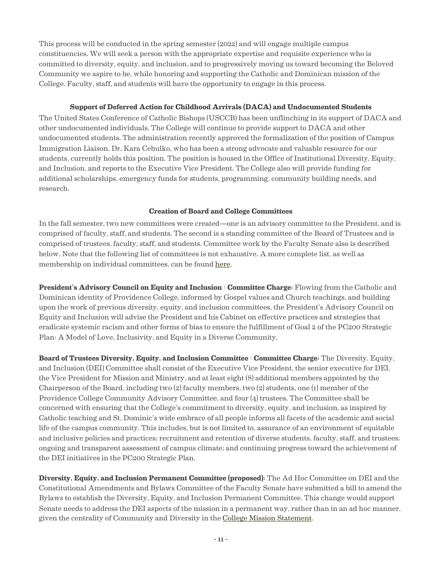This process will be conducted in the spring semester (2022) and will engage multiple campus constituencies. We will seek a person with the appropriate expertise and requisite experience who is committed to diversity, equity, and inclusion, and to progressively moving us toward becoming the Beloved Community we aspire to be, while honoring and supporting the Catholic and Dominican mission of the College. Faculty, staff, and students will have the opportunity to engage in this process.

## **Support of Deferred Action for Childhood Arrivals (DACA) and Undocumented Students**

The United States Conference of Catholic Bishops (USCCB) has been unflinching in its support of DACA and other undocumented individuals. The College will continue to provide support to DACA and other undocumented students. The administration recently approved the formalization of the position of Campus Immigration Liaison. Dr. Kara Cebulko, who has been a strong advocate and valuable resource for our students, currently holds this position. The position is housed in the Office of Institutional Diversity, Equity, and Inclusion, and reports to the Executive Vice President. The College also will provide funding for additional scholarships, emergency funds for students, programming, community building needs, and research.

## **Creation of Board and College Committees**

In the fall semester, two new committees were created—one is an advisory committee to the President, and is comprised of faculty, staff, and students. The second is a standing committee of the Board of Trustees and is comprised of trustees, faculty, staff, and students. Committee work by the Faculty Senate also is described below. Note that the following list of committees is not exhaustive. A more complete list, as well as membership on individual committees, can be found [here.](https://institutional-diversity.providence.edu/committees-on-diversity-equity-inclusion/)

**President's Advisory Council on Equity and Inclusion | Committee Charge:** Flowing from the Catholic and Dominican identity of Providence College, informed by Gospel values and Church teachings, and building upon the work of previous diversity, equity, and inclusion committees, the President's Advisory Council on Equity and Inclusion will advise the President and his Cabinet on effective practices and strategies that eradicate systemic racism and other forms of bias to ensure the fulfillment of Goal 2 of the PC200 Strategic Plan: A Model of Love, Inclusivity, and Equity in a Diverse Community.

**Board of Trustees Diversity, Equity, and Inclusion Committee | Committee Charge:** The Diversity, Equity, and Inclusion (DEI) Committee shall consist of the Executive Vice President, the senior executive for DEI, the Vice President for Mission and Ministry, and at least eight (8) additional members appointed by the Chairperson of the Board, including two (2) faculty members, two (2) students, one (1) member of the Providence College Community Advisory Committee, and four (4) trustees. The Committee shall be concerned with ensuring that the College's commitment to diversity, equity, and inclusion, as inspired by Catholic teaching and St. Dominic's wide embrace of all people informs all facets of the academic and social life of the campus community. This includes, but is not limited to, assurance of an environment of equitable and inclusive policies and practices; recruitment and retention of diverse students, faculty, staff, and trustees; ongoing and transparent assessment of campus climate; and continuing progress toward the achievement of the DEI initiatives in the PC200 Strategic Plan.

**Diversity, Equity, and Inclusion Permanent Committee (proposed):** The Ad Hoc Committee on DEI and the Constitutional Amendments and Bylaws Committee of the Faculty Senate have submitted a bill to amend the Bylaws to establish the Diversity, Equity, and Inclusion Permanent Committee. This change would support Senate needs to address the DEI aspects of the mission in a permanent way, rather than in an ad hoc manner, given the centrality of Community and Diversity in the [College Mission Statement.](https://about.providence.edu/mission/)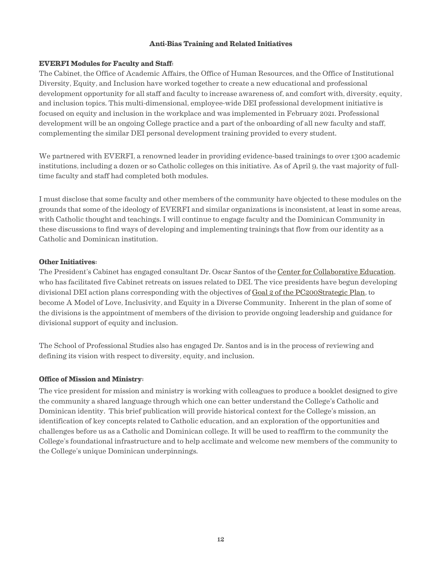## **Anti-Bias Training and Related Initiatives**

## **EVERFI Modules for Faculty and Staff:**

The Cabinet, the Office of Academic Affairs, the Office of Human Resources, and the Office of Institutional Diversity, Equity, and Inclusion have worked together to create a new educational and professional development opportunity for all staff and faculty to increase awareness of, and comfort with, diversity, equity, and inclusion topics. This multi-dimensional, employee-wide DEI professional development initiative is focused on equity and inclusion in the workplace and was implemented in February 2021. Professional development will be an ongoing College practice and a part of the onboarding of all new faculty and staff, complementing the similar DEI personal development training provided to every student.

We partnered with EVERFI, a renowned leader in providing evidence-based trainings to over 1300 academic institutions, including a dozen or so Catholic colleges on this initiative. As of April 9, the vast majority of fulltime faculty and staff had completed both modules.

I must disclose that some faculty and other members of the community have objected to these modules on the grounds that some of the ideology of EVERFI and similar organizations is inconsistent, at least in some areas, with Catholic thought and teachings. I will continue to engage faculty and the Dominican Community in these discussions to find ways of developing and implementing trainings that flow from our identity as a Catholic and Dominican institution.

#### **Other Initiatives:**

The President's Cabinet has engaged consultant Dr. Oscar Santos of the [Center for Collaborative Education,](https://www.cce.org) who has facilitated five Cabinet retreats on issues related to DEI. The vice presidents have begun developing divisional DEI action plans corresponding with the objectives of Goal 2 of the [PC200Strategic Plan,](https://strategic-plan.providence.edu/pc200-strategic-plan/pc200-strategic-plan-goal-2-a-model-of-love-inclusivity-and-equity-in-a-diverse-community/) to become A Model of Love, Inclusivity, and Equity in a Diverse Community. Inherent in the plan of some of the divisions is the appointment of members of the division to provide ongoing leadership and guidance for divisional support of equity and inclusion.

The School of Professional Studies also has engaged Dr. Santos and is in the process of reviewing and defining its vision with respect to diversity, equity, and inclusion.

## **Office of Mission and Ministry:**

The vice president for mission and ministry is working with colleagues to produce a booklet designed to give the community a shared language through which one can better understand the College's Catholic and Dominican identity. This brief publication will provide historical context for the College's mission, an identification of key concepts related to Catholic education, and an exploration of the opportunities and challenges before us as a Catholic and Dominican college. It will be used to reaffirm to the community the College's foundational infrastructure and to help acclimate and welcome new members of the community to the College's unique Dominican underpinnings.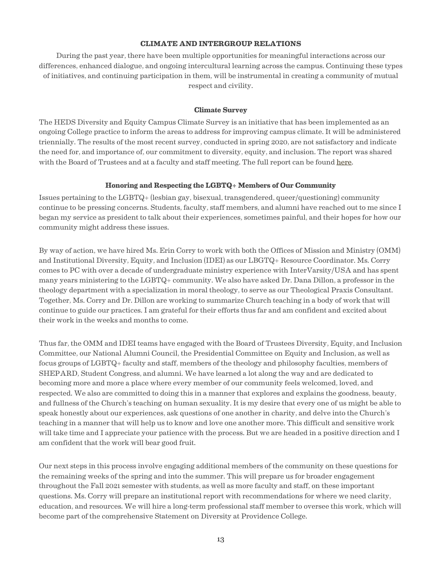#### **CLIMATE AND INTERGROUP RELATIONS**

During the past year, there have been multiple opportunities for meaningful interactions across our differences, enhanced dialogue, and ongoing intercultural learning across the campus. Continuing these types of initiatives, and continuing participation in them, will be instrumental in creating a community of mutual respect and civility.

#### **Climate Survey**

The HEDS Diversity and Equity Campus Climate Survey is an initiative that has been implemented as an ongoing College practice to inform the areas to address for improving campus climate. It will be administered triennially. The results of the most recent survey, conducted in spring 2020, are not satisfactory and indicate the need for, and importance of, our commitment to diversity, equity, and inclusion. The report was shared with the Board of Trustees and at a faculty and staff meeting. The full report can be found [here.](https://institutional-diversity.providence.edu/heds-survey-2020/)

#### **Honoring and Respecting the LGBTQ+ Members of Our Community**

Issues pertaining to the LGBTQ+ (lesbian gay, bisexual, transgendered, queer/questioning) community continue to be pressing concerns. Students, faculty, staff members, and alumni have reached out to me since I began my service as president to talk about their experiences, sometimes painful, and their hopes for how our community might address these issues.

By way of action, we have hired Ms. Erin Corry to work with both the Offices of Mission and Ministry (OMM) and Institutional Diversity, Equity, and Inclusion (IDEI) as our LBGTQ+ Resource Coordinator. Ms. Corry comes to PC with over a decade of undergraduate ministry experience with InterVarsity/USA and has spent many years ministering to the LGBTQ+ community. We also have asked Dr. Dana Dillon, a professor in the theology department with a specialization in moral theology, to serve as our Theological Praxis Consultant. Together, Ms. Corry and Dr. Dillon are working to summarize Church teaching in a body of work that will continue to guide our practices. I am grateful for their efforts thus far and am confident and excited about their work in the weeks and months to come.

Thus far, the OMM and IDEI teams have engaged with the Board of Trustees Diversity, Equity, and Inclusion Committee, our National Alumni Council, the Presidential Committee on Equity and Inclusion, as well as focus groups of LGBTQ+ faculty and staff, members of the theology and philosophy faculties, members of SHEPARD, Student Congress, and alumni. We have learned a lot along the way and are dedicated to becoming more and more a place where every member of our community feels welcomed, loved, and respected. We also are committed to doing this in a manner that explores and explains the goodness, beauty, and fullness of the Church's teaching on human sexuality. It is my desire that every one of us might be able to speak honestly about our experiences, ask questions of one another in charity, and delve into the Church's teaching in a manner that will help us to know and love one another more. This difficult and sensitive work will take time and I appreciate your patience with the process. But we are headed in a positive direction and I am confident that the work will bear good fruit.

Our next steps in this process involve engaging additional members of the community on these questions for the remaining weeks of the spring and into the summer. This will prepare us for broader engagement throughout the Fall 2021 semester with students, as well as more faculty and staff, on these important questions. Ms. Corry will prepare an institutional report with recommendations for where we need clarity, education, and resources. We will hire a long-term professional staff member to oversee this work, which will become part of the comprehensive Statement on Diversity at Providence College.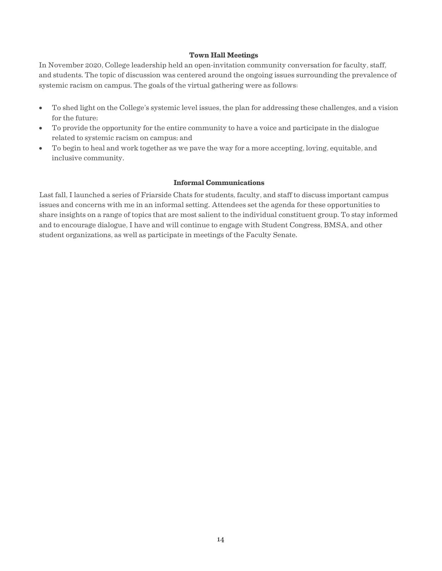#### **Town Hall Meetings**

In November 2020, College leadership held an open-invitation community conversation for faculty, staff, and students. The topic of discussion was centered around the ongoing issues surrounding the prevalence of systemic racism on campus. The goals of the virtual gathering were as follows:

- To shed light on the College's systemic level issues, the plan for addressing these challenges, and a vision for the future;
- To provide the opportunity for the entire community to have a voice and participate in the dialogue related to systemic racism on campus; and
- To begin to heal and work together as we pave the way for a more accepting, loving, equitable, and inclusive community.

#### **Informal Communications**

Last fall, I launched a series of Friarside Chats for students, faculty, and staff to discuss important campus issues and concerns with me in an informal setting. Attendees set the agenda for these opportunities to share insights on a range of topics that are most salient to the individual constituent group. To stay informed and to encourage dialogue, I have and will continue to engage with Student Congress, BMSA, and other student organizations, as well as participate in meetings of the Faculty Senate.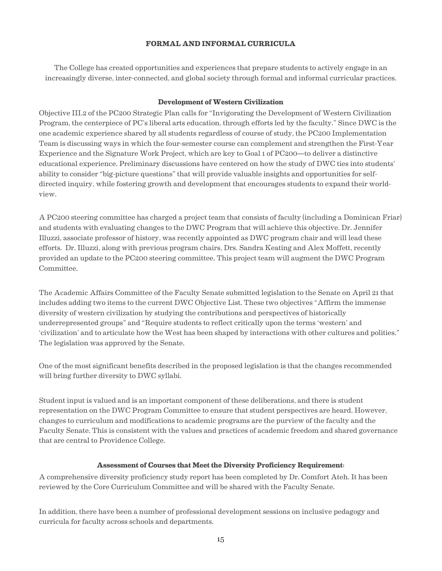#### **FORMAL AND INFORMAL CURRICULA**

The College has created opportunities and experiences that prepare students to actively engage in an increasingly diverse, inter-connected, and global society through formal and informal curricular practices.

#### **Development of Western Civilization**

Objective III.2 of the PC200 Strategic Plan calls for "Invigorating the Development of Western Civilization Program, the centerpiece of PC's liberal arts education, through efforts led by the faculty." Since DWC is the one academic experience shared by all students regardless of course of study, the PC200 Implementation Team is discussing ways in which the four-semester course can complement and strengthen the First-Year Experience and the Signature Work Project, which are key to Goal 1 of PC200—to deliver a distinctive educational experience. Preliminary discussions have centered on how the study of DWC ties into students' ability to consider "big-picture questions" that will provide valuable insights and opportunities for selfdirected inquiry, while fostering growth and development that encourages students to expand their worldview.

A PC200 steering committee has charged a project team that consists of faculty (including a Dominican Friar) and students with evaluating changes to the DWC Program that will achieve this objective. Dr. Jennifer Illuzzi, associate professor of history, was recently appointed as DWC program chair and will lead these efforts. Dr. Illuzzi, along with previous program chairs, Drs. Sandra Keating and Alex Moffett, recently provided an update to the PC200 steering committee. This project team will augment the DWC Program Committee.

The Academic Affairs Committee of the Faculty Senate submitted legislation to the Senate on April 21 that includes adding two items to the current DWC Objective List. These two objectives "Affirm the immense diversity of western civilization by studying the contributions and perspectives of historically underrepresented groups" and "Require students to reflect critically upon the terms 'western' and 'civilization' and to articulate how the West has been shaped by interactions with other cultures and polities." The legislation was approved by the Senate.

One of the most significant benefits described in the proposed legislation is that the changes recommended will bring further diversity to DWC syllabi.

Student input is valued and is an important component of these deliberations, and there is student representation on the DWC Program Committee to ensure that student perspectives are heard. However, changes to curriculum and modifications to academic programs are the purview of the faculty and the Faculty Senate. This is consistent with the values and practices of academic freedom and shared governance that are central to Providence College.

#### **Assessment of Courses that Meet the Diversity Proficiency Requirement:**

A comprehensive diversity proficiency study report has been completed by Dr. Comfort Ateh. It has been reviewed by the Core Curriculum Committee and will be shared with the Faculty Senate.

In addition, there have been a number of professional development sessions on inclusive pedagogy and curricula for faculty across schools and departments.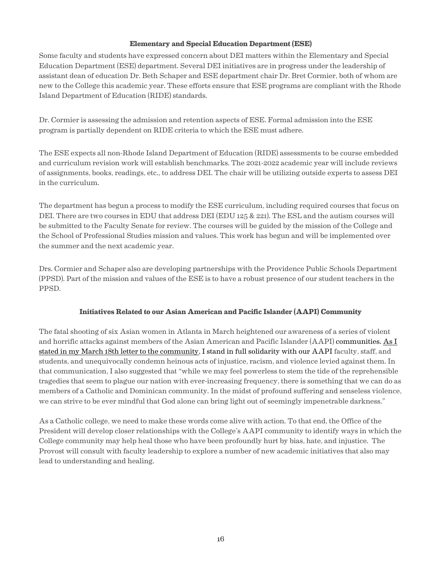## **Elementary and Special Education Department (ESE)**

Some faculty and students have expressed concern about DEI matters within the Elementary and Special Education Department (ESE) department. Several DEI initiatives are in progress under the leadership of assistant dean of education Dr. Beth Schaper and ESE department chair Dr. Bret Cormier, both of whom are new to the College this academic year. These efforts ensure that ESE programs are compliant with the Rhode Island Department of Education (RIDE) standards.

Dr. Cormier is assessing the admission and retention aspects of ESE. Formal admission into the ESE program is partially dependent on RIDE criteria to which the ESE must adhere.

The ESE expects all non-Rhode Island Department of Education (RIDE) assessments to be course embedded and curriculum revision work will establish benchmarks. The 2021-2022 academic year will include reviews of assignments, books, readings, etc., to address DEI. The chair will be utilizing outside experts to assess DEI in the curriculum.

The department has begun a process to modify the ESE curriculum, including required courses that focus on DEI. There are two courses in EDU that address DEI (EDU 125 & 221). The ESL and the autism courses will be submitted to the Faculty Senate for review. The courses will be guided by the mission of the College and the School of Professional Studies mission and values. This work has begun and will be implemented over the summer and the next academic year.

Drs. Cormier and Schaper also are developing partnerships with the Providence Public Schools Department (PPSD). Part of the mission and values of the ESE is to have a robust presence of our student teachers in the PPSD.

# **Initiatives Related to our Asian American and Pacific Islander (AAPI) Community**

The fatal shooting of six Asian women in Atlanta in March heightened our awareness of a series of violent and horrific attacks against members of the Asian American and Pacific Islander (AAPI) communities. As I stated in my March 18th letter to the [community, I stand in full solidarity with our AAPI](https://president.providence.edu/continuing-our-journey-toward-becoming-the-beloved-community/formal-and-informal-curricula/community-message-from-father-sicard/) faculty, staff, and students, and unequivocally condemn heinous acts of injustice, racism, and violence levied against them. In that communication, I also suggested that "while we may feel powerless to stem the tide of the reprehensible tragedies that seem to plague our nation with ever-increasing frequency, there is something that we can do as members of a Catholic and Dominican community. In the midst of profound suffering and senseless violence, we can strive to be ever mindful that God alone can bring light out of seemingly impenetrable darkness."

As a Catholic college, we need to make these words come alive with action. To that end, the Office of the President will develop closer relationships with the College's AAPI community to identify ways in which the College community may help heal those who have been profoundly hurt by bias, hate, and injustice. The Provost will consult with faculty leadership to explore a number of new academic initiatives that also may lead to understanding and healing.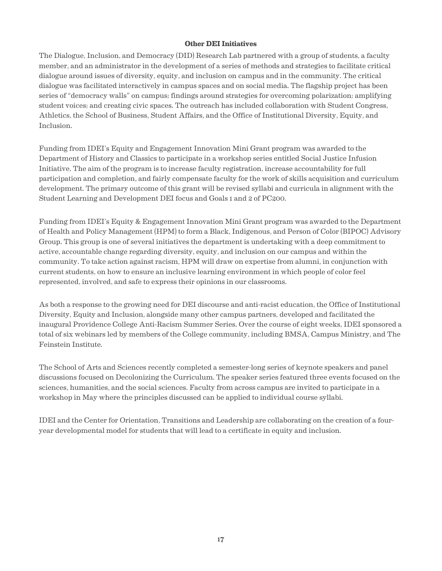## **Other DEI Initiatives**

The Dialogue, Inclusion, and Democracy (DID) Research Lab partnered with a group of students, a faculty member, and an administrator in the development of a series of methods and strategies to facilitate critical dialogue around issues of diversity, equity, and inclusion on campus and in the community. The critical dialogue was facilitated interactively in campus spaces and on social media. The flagship project has been series of "democracy walls" on campus; findings around strategies for overcoming polarization; amplifying student voices; and creating civic spaces. The outreach has included collaboration with Student Congress, Athletics, the School of Business, Student Affairs, and the Office of Institutional Diversity, Equity, and Inclusion.

Funding from IDEI's Equity and Engagement Innovation Mini Grant program was awarded to the Department of History and Classics to participate in a workshop series entitled Social Justice Infusion Initiative. The aim of the program is to increase faculty registration, increase accountability for full participation and completion, and fairly compensate faculty for the work of skills acquisition and curriculum development. The primary outcome of this grant will be revised syllabi and curricula in alignment with the Student Learning and Development DEI focus and Goals 1 and 2 of PC200.

Funding from IDEI's Equity & Engagement Innovation Mini Grant program was awarded to the Department of Health and Policy Management (HPM) to form a Black, Indigenous, and Person of Color (BIPOC) Advisory Group. This group is one of several initiatives the department is undertaking with a deep commitment to active, accountable change regarding diversity, equity, and inclusion on our campus and within the community. To take action against racism, HPM will draw on expertise from alumni, in conjunction with current students, on how to ensure an inclusive learning environment in which people of color feel represented, involved, and safe to express their opinions in our classrooms.

As both a response to the growing need for DEI discourse and anti-racist education, the Office of Institutional Diversity, Equity and Inclusion, alongside many other campus partners, developed and facilitated the inaugural Providence College Anti-Racism Summer Series. Over the course of eight weeks, IDEI sponsored a total of six webinars led by members of the College community, including BMSA, Campus Ministry, and The Feinstein Institute.

The School of Arts and Sciences recently completed a semester-long series of keynote speakers and panel discussions focused on Decolonizing the Curriculum. The speaker series featured three events focused on the sciences, humanities, and the social sciences. Faculty from across campus are invited to participate in a workshop in May where the principles discussed can be applied to individual course syllabi.

IDEI and the Center for Orientation, Transitions and Leadership are collaborating on the creation of a fouryear developmental model for students that will lead to a certificate in equity and inclusion.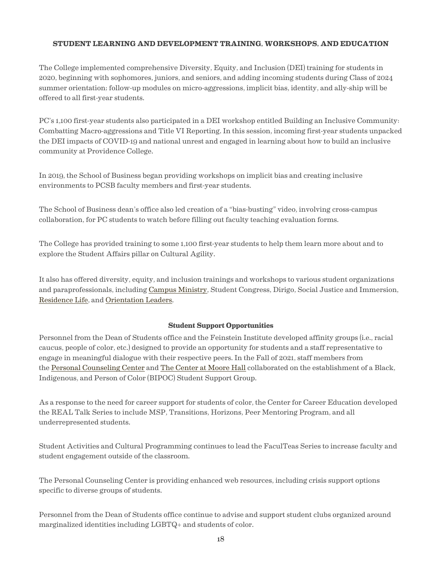## **STUDENT LEARNING AND DEVELOPMENT TRAINING, WORKSHOPS, AND EDUCATION**

The College implemented comprehensive Diversity, Equity, and Inclusion (DEI) training for students in 2020, beginning with sophomores, juniors, and seniors, and adding incoming students during Class of 2024 summer orientation; follow-up modules on micro-aggressions, implicit bias, identity, and ally-ship will be offered to all first-year students.

PC's 1,100 first-year students also participated in a DEI workshop entitled Building an Inclusive Community: Combatting Macro-aggressions and Title VI Reporting. In this session, incoming first-year students unpacked the DEI impacts of COVID-19 and national unrest and engaged in learning about how to build an inclusive community at Providence College.

In 2019, the School of Business began providing workshops on implicit bias and creating inclusive environments to PCSB faculty members and first-year students.

The School of Business dean's office also led creation of a "bias-busting" video, involving cross-campus collaboration, for PC students to watch before filling out faculty teaching evaluation forms.

The College has provided training to some 1,100 first-year students to help them learn more about and to explore the Student Affairs pillar on Cultural Agility.

It also has offered diversity, equity, and inclusion trainings and workshops to various student organizations and paraprofessionals, including Campus [Ministry,](https://mission-ministry.providence.edu/mission-ministry/chaplain/campus-ministry/) Student Congress, Dirigo, Social Justice and Immersion, [Residence Life,](https://residence-life.providence.edu) and [Orientation](https://orientation-transitions-leadership.providence.edu) Leaders.

## **Student Support Opportunities**

Personnel from the Dean of Students office and the Feinstein Institute developed affinity groups (i.e., racial caucus, people of color, etc.) designed to provide an opportunity for students and a staff representative to engage in meaningful dialogue with their respective peers. In the Fall of 2021, staff members from the Personal [Counseling](https://personal-counseling.providence.edu) Center and The [Center](https://institutional-diversity.providence.edu/the-center-at-moore-hall/) at Moore Hall collaborated on the establishment of a Black, Indigenous, and Person of Color (BIPOC) Student Support Group.

As a response to the need for career support for students of color, the Center for Career Education developed the REAL Talk Series to include MSP, Transitions, Horizons, Peer Mentoring Program, and all underrepresented students.

Student Activities and Cultural Programming continues to lead the FaculTeas Series to increase faculty and student engagement outside of the classroom.

The Personal Counseling Center is providing enhanced web resources, including crisis support options specific to diverse groups of students.

Personnel from the Dean of Students office continue to advise and support student clubs organized around marginalized identities including LGBTQ+ and students of color.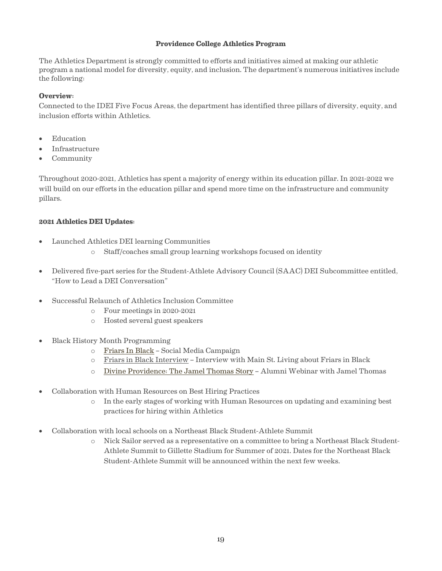## **Providence College Athletics Program**

The Athletics Department is strongly committed to efforts and initiatives aimed at making our athletic program a national model for diversity, equity, and inclusion. The department's numerous initiatives include the following:

## **Overview:**

Connected to the IDEI Five Focus Areas, the department has identified three pillars of diversity, equity, and inclusion efforts within Athletics.

- Education
- Infrastructure
- Community

Throughout 2020-2021, Athletics has spent a majority of energy within its education pillar. In 2021-2022 we will build on our efforts in the education pillar and spend more time on the infrastructure and community pillars.

#### **2021 Athletics DEI Updates:**

- Launched Athletics DEI learning Communities
	- o Staff/coaches small group learning workshops focused on identity
- Delivered five-part series for the Student-Athlete Advisory Council (SAAC) DEI Subcommittee entitled, "How to Lead a DEI Conversation"
- Successful Relaunch of Athletics Inclusion Committee
	- o Four meetings in 2020-2021
	- o Hosted several guest speakers
- Black History Month Programming
	- o [Friars](https://twitter.com/i/events/1366493189616640006) In Black Social Media Campaign
	- $\circ$  [Friars in Black Interview –](https://www.youtube.com/watch?v=vk57uXSdguU) Interview with Main St. Living about Friars in Black
	- o [Divine Providence:](https://president.providence.edu/continuing-our-journey-toward-becoming-the-beloved-community/student-learning-and-development/) The Jamel Thomas Story Alumni Webinar with Jamel Thomas
- Collaboration with Human Resources on Best Hiring Practices
	- o In the early stages of working with Human Resources on updating and examining best practices for hiring within Athletics
- Collaboration with local schools on a Northeast Black Student-Athlete Summit
	- o Nick Sailor served as a representative on a committee to bring a Northeast Black Student-Athlete Summit to Gillette Stadium for Summer of 2021. Dates for the Northeast Black Student-Athlete Summit will be announced within the next few weeks.